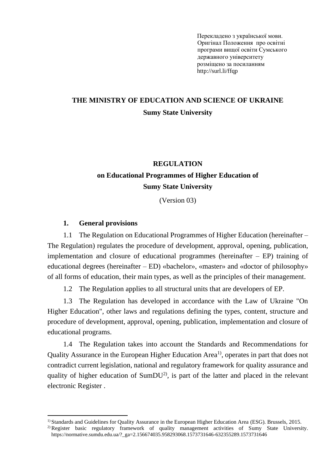Перекладено з української мови. Оригінал Положення [про освітні](https://normative.sumdu.edu.ua/?task=getfile&tmpl=component&id=064a4588-a442-ea11-afa3-001a4be6d04a&kind=1)  [програми вищої освіти Сумського](https://normative.sumdu.edu.ua/?task=getfile&tmpl=component&id=064a4588-a442-ea11-afa3-001a4be6d04a&kind=1)  [державного університету](https://normative.sumdu.edu.ua/?task=getfile&tmpl=component&id=064a4588-a442-ea11-afa3-001a4be6d04a&kind=1) розміщено за посиланням http://surl.li/ffqp

# **THE MINISTRY OF EDUCATION AND SCIENCE OF UKRAINE Sumy State University**

# **REGULATION on Educational Programmes of Higher Education of Sumy State University**

(Version 03)

#### **1. General provisions**

1.1 The Regulation on Educational Programmes of Higher Education (hereinafter – The Regulation) regulates the procedure of development, approval, opening, publication, implementation and closure of educational programmes (hereinafter – EP) training of educational degrees (hereinafter – ED) «bachelor», «master» and «doctor of philosophy» of all forms of education, their main types, as well as the principles of their management.

1.2 The Regulation applies to all structural units that are developers of EP.

1.3 The Regulation has developed in accordance with the Law of Ukraine "On Higher Education", other laws and regulations defining the types, content, structure and procedure of development, approval, opening, publication, implementation and closure of educational programs.

1.4 The Regulation takes into account the Standards and Recommendations for Quality Assurance in the European Higher Education Area<sup>1</sup>, operates in part that does not contradict current legislation, national and regulatory framework for quality assurance and quality of higher education of SumDU<sup>2)</sup>, is part of the latter and placed in the relevant electronic Register .

<sup>1)</sup> Standards and Guidelines for Quality Assurance in the European Higher Education Area (ESG). Brussels, 2015.

<sup>2)</sup> Register basic regulatory framework of quality management activities of Sumy State University. https://normative.sumdu.edu.ua/?\_ga=2.156674035.958293068.1573731646-632355289.1573731646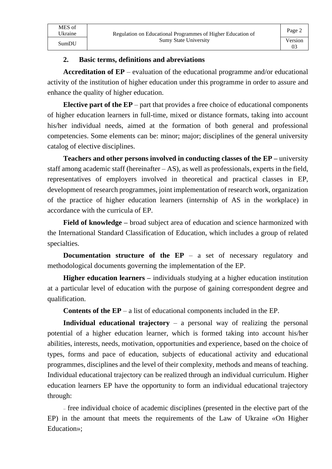### **2. Basic terms, definitions and abreviations**

**Accreditation of EP** – evaluation of the educational programme and/or educational activity of the institution of higher education under this programme in order to assure and enhance the quality of higher education.

Page 2

03

**Elective part of the EP** – part that provides a free choice of educational components of higher education learners in full-time, mixed or distance formats, taking into account his/her individual needs, aimed at the formation of both general and professional competencies. Some elements can be: minor; major; disciplines of the general university catalog of elective disciplines.

**Teachers and other persons involved in conducting classes of the EP –** university staff among academic staff (hereinafter – AS), as well as professionals, experts in the field, representatives of employers involved in theoretical and practical classes in EP, development of research programmes, joint implementation of research work, organization of the practice of higher education learners (internship of AS in the workplace) in accordance with the curricula of EP.

**Field of knowledge –** broad subject area of education and science harmonized with the International Standard Classification of Education, which includes a group of related specialties.

**Documentation structure of the EP** – a set of necessary regulatory and methodological documents governing the implementation of the EP.

**Higher education learners –** individuals studying at a higher education institution at a particular level of education with the purpose of gaining correspondent degree and qualification.

**Contents of the EP** – a list of educational components included in the EP.

**Individual educational trajectory** – a personal way of realizing the personal potential of a higher education learner, which is formed taking into account his/her abilities, interests, needs, motivation, opportunities and experience, based on the choice of types, forms and pace of education, subjects of educational activity and educational programmes, disciplines and the level of their complexity, methods and means of teaching. Individual educational trajectory can be realized through an individual curriculum. Higher education learners EP have the opportunity to form an individual educational trajectory through:

₋ free individual choice of academic disciplines (presented in the elective part of the EP) in the amount that meets the requirements of the Law of Ukraine «On Higher Education»;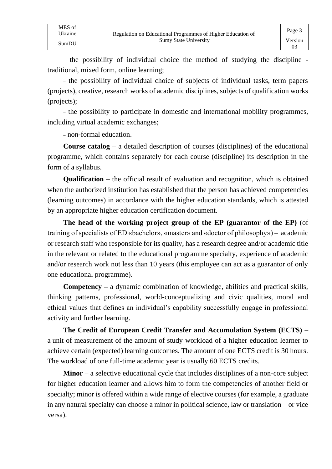- the possibility of individual choice the method of studying the discipline traditional, mixed form, online learning;

₋ the possibility of individual choice of subjects of individual tasks, term papers (projects), creative, research works of academic disciplines, subjects of qualification works (projects);

₋ the possibility to participate in domestic and international mobility programmes, including virtual academic exchanges;

₋ non-formal education.

**Course catalog –** a detailed description of courses (disciplines) of the educational programme, which contains separately for each course (discipline) its description in the form of a syllabus.

**Qualification –** the official result of evaluation and recognition, which is obtained when the authorized institution has established that the person has achieved competencies (learning outcomes) in accordance with the higher education standards, which is attested by an appropriate higher education certification document.

**The head of the working project group of the EP (guarantor of the EP)** (of training of specialists of ED «bachelor», «master» and «doctor of philosophy») – academic or research staff who responsible for its quality, has a research degree and/or academic title in the relevant or related to the educational programme specialty, experience of academic and/or research work not less than 10 years (this employee can act as a guarantor of only one educational programme).

**Competency –** a dynamic combination of knowledge, abilities and practical skills, thinking patterns, professional, world-conceptualizing and civic qualities, moral and ethical values that defines an individual's capability successfully engage in professional activity and further learning.

**The Credit of European Credit Transfer and Accumulation System (ECTS) –** a unit of measurement of the amount of study workload of a higher education learner to achieve certain (expected) learning outcomes. The amount of one ECTS credit is 30 hours. The workload of one full-time academic year is usually 60 ECTS credits.

**Minor** – a selective educational cycle that includes disciplines of a non-core subject for higher education learner and allows him to form the competencies of another field or specialty; minor is offered within a wide range of elective courses (for example, a graduate in any natural specialty can choose a minor in political science, law or translation – or vice versa).

MES of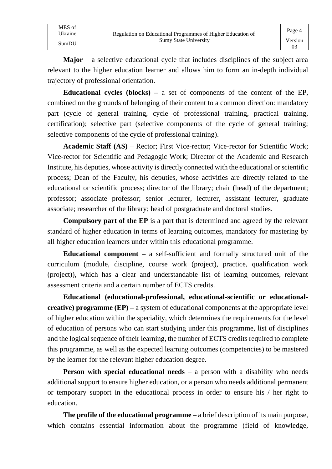| MES of<br>Ukraine | Regulation on Educational Programmes of Higher Education of | Page 4  |
|-------------------|-------------------------------------------------------------|---------|
| SumDU             | <b>Sumy State University</b>                                | Version |

**Major** – a selective educational cycle that includes disciplines of the subject area relevant to the higher education learner and allows him to form an in-depth individual trajectory of professional orientation.

**Educational cycles (blocks) –** a set of components of the content of the EP, combined on the grounds of belonging of their content to a common direction: mandatory part (cycle of general training, cycle of professional training, practical training, certification); selective part (selective components of the cycle of general training; selective components of the cycle of professional training).

**Academic Staff (AS)** – Rector; First Vice-rector; Vice-rector for Scientific Work; Vice-rector for Scientific and Pedagogic Work; Director of the Academic and Research Institute, his deputies, whose activity is directly connected with the educational or scientific process; Dean of the Faculty, his deputies, whose activities are directly related to the educational or scientific process; director of the library; chair (head) of the department; professor; associate professor; senior lecturer, lecturer, assistant lecturer, graduate associate; researcher of the library; head of postgraduate and doctoral studies.

**Compulsory part of the EP** is a part that is determined and agreed by the relevant standard of higher education in terms of learning outcomes, mandatory for mastering by all higher education learners under within this educational programme.

**Educational component –** a self-sufficient and formally structured unit of the curriculum (module, discipline, course work (project), practice, qualification work (project)), which has a clear and understandable list of learning outcomes, relevant assessment criteria and a certain number of ECTS credits.

**Educational (educational-professional, educational-scientific or educationalcreative) programme (EP) –** a system of educational components at the appropriate level of higher education within the speciality, which determines the requirements for the level of education of persons who can start studying under this programme, list of disciplines and the logical sequence of their learning, the number of ECTS credits required to complete this programme, as well as the expected learning outcomes (competencies) to be mastered by the learner for the relevant higher education degree.

**Person with special educational needs** – a person with a disability who needs additional support to ensure higher education, or a person who needs additional permanent or temporary support in the educational process in order to ensure his / her right to education.

**The profile of the educational programme –** a brief description of its main purpose, which contains essential information about the programme (field of knowledge,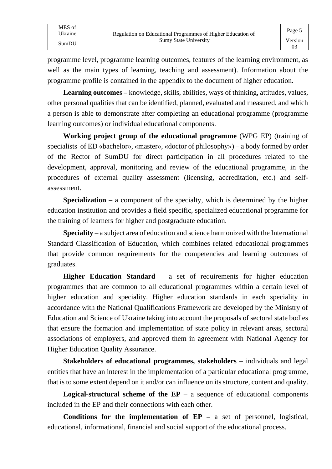MES of<br>Ukraine

programme level, programme learning outcomes, features of the learning environment, as well as the main types of learning, teaching and assessment). Information about the programme profile is contained in the appendix to the document of higher education.

**Learning outcomes –** knowledge, skills, abilities, ways of thinking, attitudes, values, other personal qualities that can be identified, planned, evaluated and measured, and which a person is able to demonstrate after completing an educational programme (programme learning outcomes) or individual educational components.

**Working project group of the educational programme** (WPG EP) (training of specialists of ED «bachelor», «master», «doctor of philosophy») – a body formed by order of the Rector of SumDU for direct participation in all procedures related to the development, approval, monitoring and review of the educational programme, in the procedures of external quality assessment (licensing, accreditation, etc.) and selfassessment.

**Specialization –** a component of the specialty, which is determined by the higher education institution and provides a field specific, specialized educational programme for the training of learners for higher and postgraduate education.

**Speciality** – a subject area of education and science harmonized with the International Standard Classification of Education, which combines related educational programmes that provide common requirements for the competencies and learning outcomes of graduates.

**Higher Education Standard** – a set of requirements for higher education programmes that are common to all educational programmes within a certain level of higher education and speciality. Higher education standards in each speciality in accordance with the National Qualifications Framework are developed by the Ministry of Education and Science of Ukraine taking into account the proposals of sectoral state bodies that ensure the formation and implementation of state policy in relevant areas, sectoral associations of employers, and approved them in agreement with National Agency for Higher Education Quality Assurance.

**Stakeholders of educational programmes, stakeholders –** individuals and legal entities that have an interest in the implementation of a particular educational programme, that is to some extent depend on it and/or can influence on its structure, content and quality.

**Logical-structural scheme of the**  $EP - a$  **sequence of educational components** included in the EP and their connections with each other.

**Conditions for the implementation of EP –** a set of personnel, logistical, educational, informational, financial and social support of the educational process.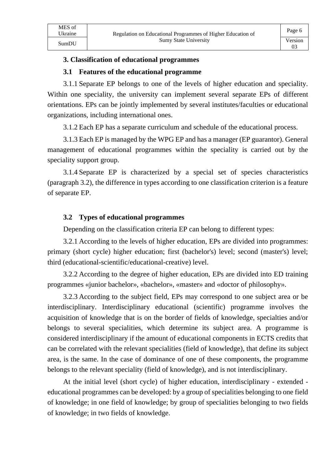03

#### **3. Classification of educational programmes**

#### **3.1 Features of the educational programme**

3.1.1 Separate EP belongs to one of the levels of higher education and speciality. Within one speciality, the university can implement several separate EPs of different orientations. EPs can be jointly implemented by several institutes/faculties or educational organizations, including international ones.

3.1.2 Each EP has a separate curriculum and schedule of the educational process.

3.1.3 Each EP is managed by the WPG EP and has a manager (EP guarantor). General management of educational programmes within the speciality is carried out by the speciality support group.

3.1.4 Separate EP is characterized by a special set of species characteristics (paragraph 3.2), the difference in types according to one classification criterion is a feature of separate EP.

#### **3.2 Types of educational programmes**

Depending on the classification criteria EP can belong to different types:

3.2.1 According to the levels of higher education, EPs are divided into programmes: primary (short cycle) higher education; first (bachelor's) level; second (master's) level; third (educational-scientific/educational-creative) level.

3.2.2 According to the degree of higher education, EPs are divided into ED training programmes «junior bachelor», «bachelor», «master» and «doctor of philosophy».

3.2.3 According to the subject field, EPs may correspond to one subject area or be interdisciplinary. Interdisciplinary educational (scientific) programme involves the acquisition of knowledge that is on the border of fields of knowledge, specialties and/or belongs to several specialities, which determine its subject area. A programme is considered interdisciplinary if the amount of educational components in ECTS credits that can be correlated with the relevant specialities (field of knowledge), that define its subject area, is the same. In the case of dominance of one of these components, the programme belongs to the relevant speciality (field of knowledge), and is not interdisciplinary.

At the initial level (short cycle) of higher education, interdisciplinary - extended educational programmes can be developed: by a group of specialities belonging to one field of knowledge; in one field of knowledge; by group of specialities belonging to two fields of knowledge; in two fields of knowledge.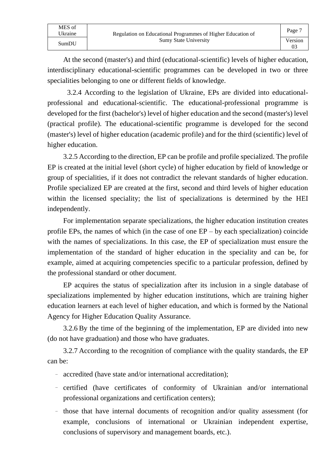At the second (master's) and third (educational-scientific) levels of higher education, interdisciplinary educational-scientific programmes can be developed in two or three specialities belonging to one or different fields of knowledge.

03

3.2.4 According to the legislation of Ukraine, EPs are divided into educationalprofessional and educational-scientific. The educational-professional programme is developed for the first (bachelor's) level of higher education and the second (master's) level (practical profile). The educational-scientific programme is developed for the second (master's) level of higher education (academic profile) and for the third (scientific) level of higher education.

3.2.5 According to the direction, EP can be profile and profile specialized. The profile EP is created at the initial level (short cycle) of higher education by field of knowledge or group of specialities, if it does not contradict the relevant standards of higher education. Profile specialized EP are created at the first, second and third levels of higher education within the licensed speciality; the list of specializations is determined by the HEI independently.

For implementation separate specializations, the higher education institution creates profile EPs, the names of which (in the case of one EP – by each specialization) coincide with the names of specializations. In this case, the EP of specialization must ensure the implementation of the standard of higher education in the speciality and can be, for example, aimed at acquiring competencies specific to a particular profession, defined by the professional standard or other document.

EP acquires the status of specialization after its inclusion in a single database of specializations implemented by higher education institutions, which are training higher education learners at each level of higher education, and which is formed by the National Agency for Higher Education Quality Assurance.

3.2.6 By the time of the beginning of the implementation, EP are divided into new (do not have graduation) and those who have graduates.

3.2.7 According to the recognition of compliance with the quality standards, the EP can be:

- accredited (have state and/or international accreditation);
- certified (have certificates of conformity of Ukrainian and/or international professional organizations and certification centers);
- those that have internal documents of recognition and/or quality assessment (for example, conclusions of international or Ukrainian independent expertise, conclusions of supervisory and management boards, etc.).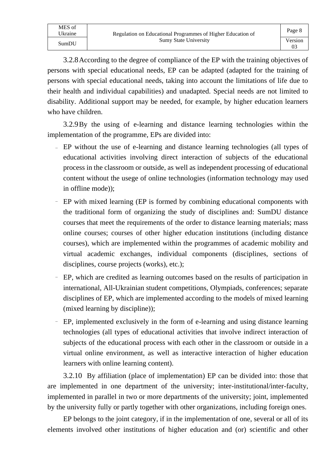MES of

3.2.8According to the degree of compliance of the EP with the training objectives of persons with special educational needs, EP can be adapted (adapted for the training of persons with special educational needs, taking into account the limitations of life due to their health and individual capabilities) and unadapted. Special needs are not limited to disability. Additional support may be needed, for example, by higher education learners who have children.

3.2.9By the using of e-learning and distance learning technologies within the implementation of the programme, EPs are divided into:

- ₋ EP without the use of e-learning and distance learning technologies (all types of educational activities involving direct interaction of subjects of the educational process in the classroom or outside, as well as independent processing of educational content without the usege of online technologies (information technology may used in offline mode));
- EP with mixed learning (EP is formed by combining educational components with the traditional form of organizing the study of disciplines and: SumDU distance courses that meet the requirements of the order to distance learning materials; mass online courses; courses of other higher education institutions (including distance courses), which are implemented within the programmes of academic mobility and virtual academic exchanges, individual components (disciplines, sections of disciplines, course projects (works), etc.);
- EP, which are credited as learning outcomes based on the results of participation in international, All-Ukrainian student competitions, Olympiads, conferences; separate disciplines of EP, which are implemented according to the models of mixed learning (mixed learning by discipline));
- EP, implemented exclusively in the form of e-learning and using distance learning technologies (all types of educational activities that involve indirect interaction of subjects of the educational process with each other in the classroom or outside in a virtual online environment, as well as interactive interaction of higher education learners with online learning content).

3.2.10 By affiliation (place of implementation) EP can be divided into: those that are implemented in one department of the university; inter-institutional/inter-faculty, implemented in parallel in two or more departments of the university; joint, implemented by the university fully or partly together with other organizations, including foreign ones.

EP belongs to the joint category, if in the implementation of one, several or all of its elements involved other institutions of higher education and (or) scientific and other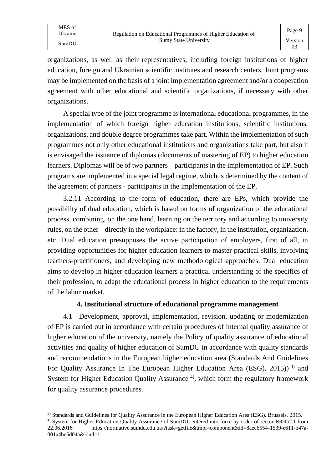organizations, as well as their representatives, including foreign institutions of higher education, foreign and Ukrainian scientific institutes and research centers. Joint programs may be implemented on the basis of a joint implementation agreement and/or a cooperation agreement with other educational and scientific organizations, if necessary with other organizations.

A special type of the joint programme is international educational programmes, in the implementation of which foreign higher education institutions, scientific institutions, organizations, and double degree programmes take part. Within the implementation of such programmes not only other educational institutions and organizations take part, but also it is envisaged the issuance of diplomas (documents of mastering of EP) to higher education learners. Diplomas will be of two partners – participants in the implementation of EP. Such programs are implemented in a special legal regime, which is determined by the content of the agreement of partners - participants in the implementation of the EP.

3.2.11 According to the form of education, there are EPs, which provide the possibility of dual education, which is based on forms of organization of the educational process, combining, on the one hand, learning on the territory and according to university rules, on the other – directly in the workplace: in the factory, in the institution, organization, etc. Dual education presupposes the active participation of employers, first of all, in providing opportunities for higher education learners to master practical skills, involving teachers-practitioners, and developing new methodological approaches. Dual education aims to develop in higher education learners a practical understanding of the specifics of their profession, to adapt the educational process in higher education to the requirements of the labor market.

#### **4. Institutional structure of educational programme management**

4.1 Development, approval, implementation, revision, updating or modernization of EP is carried out in accordance with certain procedures of internal quality assurance of higher education of the university, namely the Policy of quality assurance of educational activities and quality of higher education of SumDU in accordance with quality standards and recommendations in the European higher education area (Standards And Guidelines For Quality Assurance In The European Higher Education Area (ESG), 2015))<sup>3)</sup> and System for Higher Education Quality Assurance  $4$ , which form the regulatory framework for quality assurance procedures.

<sup>3)</sup> Standards and Guidelines for Quality Assurance in the European Higher Education Area (ESG). Brussels, 2015.

<sup>4)</sup> System for Higher Education Quality Assurance of SumDU, entered into force by order of rector №0452-І from 22.06.2016 https://normative.sumdu.edu.ua/?task=getfile&tmpl=component&id=8aee6554-1539-e611-b47a-001a4be6d04a&kind=1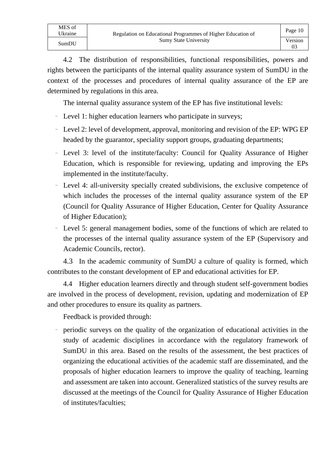4.2 The distribution of responsibilities, functional responsibilities, powers and rights between the participants of the internal quality assurance system of SumDU in the context of the processes and procedures of internal quality assurance of the EP are determined by regulations in this area.

The internal quality assurance system of the EP has five institutional levels:

- Level 1: higher education learners who participate in surveys;
- Level 2: level of development, approval, monitoring and revision of the EP: WPG EP headed by the guarantor, speciality support groups, graduating departments;
- Level 3: level of the institute/faculty: Council for Quality Assurance of Higher Education, which is responsible for reviewing, updating and improving the EPs implemented in the institute/faculty.
- ₋ Level 4: all-university specially created subdivisions, the exclusive competence of which includes the processes of the internal quality assurance system of the EP (Council for Quality Assurance of Higher Education, Center for Quality Assurance of Higher Education);
- Level 5: general management bodies, some of the functions of which are related to the processes of the internal quality assurance system of the EP (Supervisory and Academic Councils, rector).

4.3 In the academic community of SumDU a culture of quality is formed, which contributes to the constant development of EP and educational activities for EP.

4.4 Higher education learners directly and through student self-government bodies are involved in the process of development, revision, updating and modernization of EP and other procedures to ensure its quality as partners.

Feedback is provided through:

MES of

- periodic surveys on the quality of the organization of educational activities in the study of academic disciplines in accordance with the regulatory framework of SumDU in this area. Based on the results of the assessment, the best practices of organizing the educational activities of the academic staff are disseminated, and the proposals of higher education learners to improve the quality of teaching, learning and assessment are taken into account. Generalized statistics of the survey results are discussed at the meetings of the Council for Quality Assurance of Higher Education of institutes/faculties;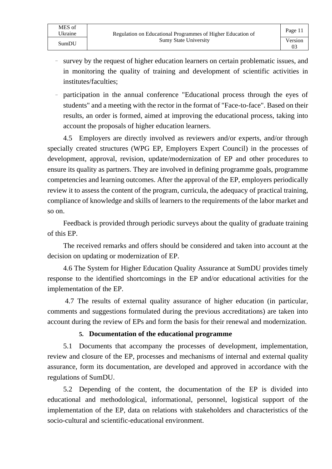- ₋ survey by the request of higher education learners on certain problematic issues, and in monitoring the quality of training and development of scientific activities in institutes/faculties;
- participation in the annual conference "Educational process through the eyes of students" and a meeting with the rector in the format of "Face-to-face". Based on their results, an order is formed, aimed at improving the educational process, taking into account the proposals of higher education learners.

4.5 Employers are directly involved as reviewers and/or experts, and/or through specially created structures (WPG EP, Employers Expert Council) in the processes of development, approval, revision, update/modernization of EP and other procedures to ensure its quality as partners. They are involved in defining programme goals, programme competencies and learning outcomes. After the approval of the EP, employers periodically review it to assess the content of the program, curricula, the adequacy of practical training, compliance of knowledge and skills of learners to the requirements of the labor market and so on.

Feedback is provided through periodic surveys about the quality of graduate training of this EP.

The received remarks and offers should be considered and taken into account at the decision on updating or modernization of EP.

4.6 The System for Higher Education Quality Assurance at SumDU provides timely response to the identified shortcomings in the EP and/or educational activities for the implementation of the EP.

4.7 The results of external quality assurance of higher education (in particular, comments and suggestions formulated during the previous accreditations) are taken into account during the review of EPs and form the basis for their renewal and modernization.

#### **5. Documentation of the educational programme**

5.1 Documents that accompany the processes of development, implementation, review and closure of the EP, processes and mechanisms of internal and external quality assurance, form its documentation, are developed and approved in accordance with the regulations of SumDU.

5.2 Depending of the content, the documentation of the EP is divided into educational and methodological, informational, personnel, logistical support of the implementation of the EP, data on relations with stakeholders and characteristics of the socio-cultural and scientific-educational environment.

MES of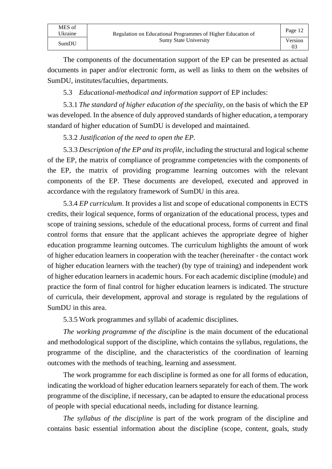| MES of  |                                                             | Page 12 |
|---------|-------------------------------------------------------------|---------|
| Ukraine | Regulation on Educational Programmes of Higher Education of |         |
| SumDU   | <b>Sumy State University</b>                                | Version |
|         |                                                             |         |

The components of the documentation support of the EP can be presented as actual documents in paper and/or electronic form, as well as links to them on the websites of SumDU, institutes/faculties, departments.

5.3 *Educational-methodical and information support* of EP includes:

5.3.1 *The standard of higher education of the speciality*, on the basis of which the EP was developed. In the absence of duly approved standards of higher education, a temporary standard of higher education of SumDU is developed and maintained.

5.3.2 *Justification of the need to open the EP.*

5.3.3 *Description of the EP and its profile*, including the structural and logical scheme of the EP, the matrix of compliance of programme competencies with the components of the EP, the matrix of providing programme learning outcomes with the relevant components of the EP. These documents are developed, executed and approved in accordance with the regulatory framework of SumDU in this area.

5.3.4 *EP curriculum*. It provides a list and scope of educational components in ECTS credits, their logical sequence, forms of organization of the educational process, types and scope of training sessions, schedule of the educational process, forms of current and final control forms that ensure that the applicant achieves the appropriate degree of higher education programme learning outcomes. The curriculum highlights the amount of work of higher education learners in cooperation with the teacher (hereinafter - the contact work of higher education learners with the teacher) (by type of training) and independent work of higher education learners in academic hours. For each academic discipline (module) and practice the form of final control for higher education learners is indicated. The structure of curricula, their development, approval and storage is regulated by the regulations of SumDU in this area.

5.3.5 Work programmes and syllabi of academic disciplines.

*The working programme of the discipline* is the main document of the educational and methodological support of the discipline, which contains the syllabus, regulations, the programme of the discipline, and the characteristics of the coordination of learning outcomes with the methods of teaching, learning and assessment.

The work programme for each discipline is formed as one for all forms of education, indicating the workload of higher education learners separately for each of them. The work programme of the discipline, if necessary, can be adapted to ensure the educational process of people with special educational needs, including for distance learning.

*The syllabus of the discipline* is part of the work program of the discipline and contains basic essential information about the discipline (scope, content, goals, study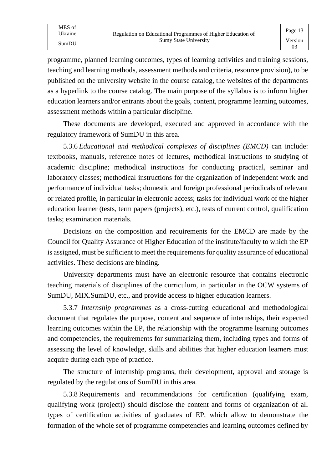programme, planned learning outcomes, types of learning activities and training sessions, teaching and learning methods, assessment methods and criteria, resource provision), to be published on the university website in the course catalog, the websites of the departments as a hyperlink to the course catalog. The main purpose of the syllabus is to inform higher education learners and/or entrants about the goals, content, programme learning outcomes, assessment methods within a particular discipline.

These documents are developed, executed and approved in accordance with the regulatory framework of SumDU in this area.

5.3.6 *Educational and methodical complexes of disciplines (EMCD)* can include: textbooks, manuals, reference notes of lectures, methodical instructions to studying of academic discipline; methodical instructions for conducting practical, seminar and laboratory classes; methodical instructions for the organization of independent work and performance of individual tasks; domestic and foreign professional periodicals of relevant or related profile, in particular in electronic access; tasks for individual work of the higher education learner (tests, term papers (projects), etc.), tests of current control, qualification tasks; examination materials.

Decisions on the composition and requirements for the EMCD are made by the Council for Quality Assurance of Higher Education of the institute/faculty to which the EP is assigned, must be sufficient to meet the requirements for quality assurance of educational activities. These decisions are binding.

University departments must have an electronic resource that contains electronic teaching materials of disciplines of the curriculum, in particular in the OCW systems of SumDU, MIX.SumDU, etc., and provide access to higher education learners.

5.3.7 *Internship programmes* as a cross-cutting educational and methodological document that regulates the purpose, content and sequence of internships, their expected learning outcomes within the EP, the relationship with the programme learning outcomes and competencies, the requirements for summarizing them, including types and forms of assessing the level of knowledge, skills and abilities that higher education learners must acquire during each type of practice.

The structure of internship programs, their development, approval and storage is regulated by the regulations of SumDU in this area.

5.3.8 Requirements and recommendations for certification (qualifying exam, qualifying work (project)) should disclose the content and forms of organization of all types of certification activities of graduates of EP, which allow to demonstrate the formation of the whole set of programme competencies and learning outcomes defined by

MES of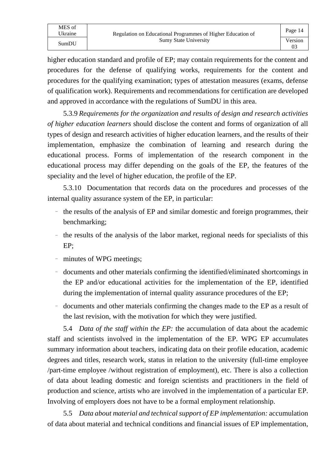higher education standard and profile of EP; may contain requirements for the content and procedures for the defense of qualifying works, requirements for the content and procedures for the qualifying examination; types of attestation measures (exams, defense of qualification work). Requirements and recommendations for certification are developed and approved in accordance with the regulations of SumDU in this area.

5.3.9 *Requirements for the organization and results of design and research activities of higher education learners* should disclose the content and forms of organization of all types of design and research activities of higher education learners, and the results of their implementation, emphasize the combination of learning and research during the educational process. Forms of implementation of the research component in the educational process may differ depending on the goals of the EP, the features of the speciality and the level of higher education, the profile of the EP.

5.3.10 Documentation that records data on the procedures and processes of the internal quality assurance system of the EP, in particular:

- the results of the analysis of EP and similar domestic and foreign programmes, their benchmarking;
- the results of the analysis of the labor market, regional needs for specialists of this EP;
- minutes of WPG meetings;
- ₋ documents and other materials confirming the identified/eliminated shortcomings in the EP and/or educational activities for the implementation of the EP, identified during the implementation of internal quality assurance procedures of the EP;
- documents and other materials confirming the changes made to the EP as a result of the last revision, with the motivation for which they were justified.

5.4 *Data of the staff within the EP:* the accumulation of data about the academic staff and scientists involved in the implementation of the EP. WPG EP accumulates summary information about teachers, indicating data on their profile education, academic degrees and titles, research work, status in relation to the university (full-time employee /part-time employee /without registration of employment), etc. There is also a collection of data about leading domestic and foreign scientists and practitioners in the field of production and science, artists who are involved in the implementation of a particular EP. Involving of employers does not have to be a formal employment relationship.

5.5 *Data about material and technical support of EP implementation:* accumulation of data about material and technical conditions and financial issues of EP implementation,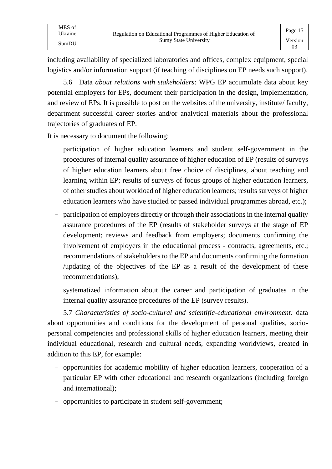including availability of specialized laboratories and offices, complex equipment, special logistics and/or information support (if teaching of disciplines on EP needs such support).

5.6 Data *about relations with stakeholders*: WPG EP accumulate data about key potential employers for EPs, document their participation in the design, implementation, and review of EPs. It is possible to post on the websites of the university, institute/ faculty, department successful career stories and/or analytical materials about the professional trajectories of graduates of EP.

It is necessary to document the following:

- participation of higher education learners and student self-government in the procedures of internal quality assurance of higher education of EP (results of surveys of higher education learners about free choice of disciplines, about teaching and learning within EP; results of surveys of focus groups of higher education learners, of other studies about workload of higher education learners; results surveys of higher education learners who have studied or passed individual programmes abroad, etc.);
- ₋ participation of employers directly or through their associations in the internal quality assurance procedures of the EP (results of stakeholder surveys at the stage of EP development; reviews and feedback from employers; documents confirming the involvement of employers in the educational process - contracts, agreements, etc.; recommendations of stakeholders to the EP and documents confirming the formation /updating of the objectives of the EP as a result of the development of these recommendations);
- ₋ systematized information about the career and participation of graduates in the internal quality assurance procedures of the EP (survey results).

5.7 *Characteristics of socio-cultural and scientific-educational environment:* data about opportunities and conditions for the development of personal qualities, sociopersonal competencies and professional skills of higher education learners, meeting their individual educational, research and cultural needs, expanding worldviews, created in addition to this EP, for example:

- ₋ opportunities for academic mobility of higher education learners, cooperation of a particular EP with other educational and research organizations (including foreign and international);
- ₋ opportunities to participate in student self-government;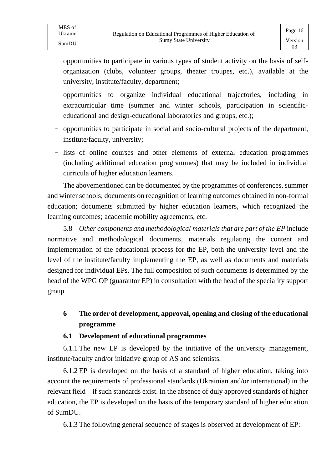MES of

03

- opportunities to participate in various types of student activity on the basis of selforganization (clubs, volunteer groups, theater troupes, etc.), available at the university, institute/faculty, department;
- ₋ opportunities to organize individual educational trajectories, including in extracurricular time (summer and winter schools, participation in scientificeducational and design-educational laboratories and groups, etc.);
- opportunities to participate in social and socio-cultural projects of the department, institute/faculty, university;
- lists of online courses and other elements of external education programmes (including additional education programmes) that may be included in individual curricula of higher education learners.

The abovementioned can be documented by the programmes of conferences, summer and winter schools; documents on recognition of learning outcomes obtained in non-formal education; documents submitted by higher education learners, which recognized the learning outcomes; academic mobility agreements, etc.

5.8 *Other components and methodological materials that are part of the EP* include normative and methodological documents, materials regulating the content and implementation of the educational process for the EP, both the university level and the level of the institute/faculty implementing the EP, as well as documents and materials designed for individual EPs. The full composition of such documents is determined by the head of the WPG OP (guarantor EP) in consultation with the head of the speciality support group.

# **6 The order of development, approval, opening and closing of the educational programme**

### **6.1 Development of educational programmes**

6.1.1 The new EP is developed by the initiative of the university management, institute/faculty and/or initiative group of AS and scientists.

6.1.2 EP is developed on the basis of a standard of higher education, taking into account the requirements of professional standards (Ukrainian and/or international) in the relevant field – if such standards exist. In the absence of duly approved standards of higher education, the EP is developed on the basis of the temporary standard of higher education of SumDU.

6.1.3 The following general sequence of stages is observed at development of EP: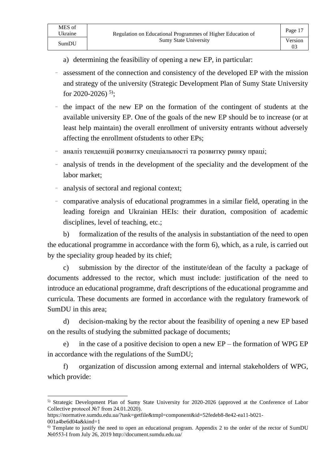03

- a) determining the feasibility of opening a new EP, in particular:
- assessment of the connection and consistency of the developed EP with the mission and strategy of the university (Strategic Development Plan of Sumy State University for 2020-2026)<sup>5)</sup>;
- the impact of the new EP on the formation of the contingent of students at the available university EP. One of the goals of the new EP should be to increase (or at least help maintain) the overall enrollment of university entrants without adversely affecting the enrollment ofstudents to other EPs;
- ₋ аналіз тенденцій розвитку спеціальності та розвитку ринку праці;
- analysis of trends in the development of the speciality and the development of the labor market;
- analysis of sectoral and regional context;
- ₋ comparative analysis of educational programmes in a similar field, operating in the leading foreign and Ukrainian HEIs: their duration, composition of academic disciplines, level of teaching, etc.;

b) formalization of the results of the analysis in substantiation of the need to open the educational programme in accordance with the form 6), which, as a rule, is carried out by the speciality group headed by its chief;

c) submission by the director of the institute/dean of the faculty a package of documents addressed to the rector, which must include: justification of the need to introduce an educational programme, draft descriptions of the educational programme and curricula. These documents are formed in accordance with the regulatory framework of SumDU in this area;

d) decision-making by the rector about the feasibility of opening a new EP based on the results of studying the submitted package of documents;

e) in the case of a positive decision to open a new EP – the formation of WPG EP in accordance with the regulations of the SumDU;

f) organization of discussion among external and internal stakeholders of WPG, which provide:

MES of

<sup>5)</sup> Strategic Development Plan of Sumy State University for 2020-2026 (approved at the Conference of Labor Collective protocol №7 from 24.01.2020).

https://normative.sumdu.edu.ua/?task=getfile&tmpl=component&id=52fedeb8-8e42-ea11-b021-

<sup>001</sup>a4be6d04a&kind=1

<sup>&</sup>lt;sup>6)</sup> Template to justify the need to open an educational program. Appendix 2 to the order of the rector of SumDU №0553-I from July 26, 2019 http://document.sumdu.edu.ua/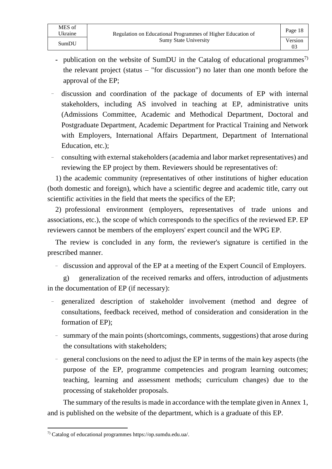MES of

- publication on the website of SumDU in the Catalog of educational programmes<sup>7)</sup> the relevant project (status – "for discussion") no later than one month before the approval of the EP;
- ₋ discussion and coordination of the package of documents of EP with internal stakeholders, including AS involved in teaching at EP, administrative units (Admissions Committee, Academic and Methodical Department, Doctoral and Postgraduate Department, Academic Department for Practical Training and Network with Employers, International Affairs Department, Department of International Education, etc.);
- ₋ consulting with external stakeholders (academia and labor market representatives) and reviewing the EP project by them. Reviewers should be representatives of:

1) the academic community (representatives of other institutions of higher education (both domestic and foreign), which have a scientific degree and academic title, carry out scientific activities in the field that meets the specifics of the EP;

2) professional environment (employers, representatives of trade unions and associations, etc.), the scope of which corresponds to the specifics of the reviewed EP. EP reviewers cannot be members of the employers' expert council and the WPG EP.

The review is concluded in any form, the reviewer's signature is certified in the prescribed manner.

- discussion and approval of the EP at a meeting of the Expert Council of Employers.

g) generalization of the received remarks and offers, introduction of adjustments in the documentation of EP (if necessary):

- ₋ generalized description of stakeholder involvement (method and degree of consultations, feedback received, method of consideration and consideration in the formation of EP);
- summary of the main points (shortcomings, comments, suggestions) that arose during the consultations with stakeholders;
- general conclusions on the need to adjust the EP in terms of the main key aspects (the purpose of the EP, programme competencies and program learning outcomes; teaching, learning and assessment methods; curriculum changes) due to the processing of stakeholder proposals.

The summary of the results is made in accordance with the template given in Annex 1, and is published on the website of the department, which is a graduate of this EP.

<sup>7)</sup> Catalog of educational programmes https://op.sumdu.edu.ua/.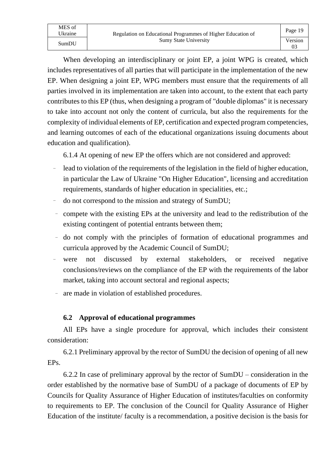Page 19 03

When developing an interdisciplinary or joint EP, a joint WPG is created, which includes representatives of all parties that will participate in the implementation of the new EP. When designing a joint EP, WPG members must ensure that the requirements of all parties involved in its implementation are taken into account, to the extent that each party contributes to this EP (thus, when designing a program of "double diplomas" it is necessary to take into account not only the content of curricula, but also the requirements for the complexity of individual elements of EP, certification and expected program competencies, and learning outcomes of each of the educational organizations issuing documents about education and qualification).

6.1.4 At opening of new EP the offers which are not considered and approved:

- lead to violation of the requirements of the legislation in the field of higher education, in particular the Law of Ukraine "On Higher Education", licensing and accreditation requirements, standards of higher education in specialities, etc.;
- do not correspond to the mission and strategy of SumDU;
- compete with the existing EPs at the university and lead to the redistribution of the existing contingent of potential entrants between them;
- do not comply with the principles of formation of educational programmes and curricula approved by the Academic Council of SumDU;
- were not discussed by external stakeholders, or received negative conclusions/reviews on the compliance of the EP with the requirements of the labor market, taking into account sectoral and regional aspects;
- ₋ are made in violation of established procedures.

# **6.2 Approval of educational programmes**

All EPs have a single procedure for approval, which includes their consistent consideration:

6.2.1 Preliminary approval by the rector of SumDU the decision of opening of all new EPs.

6.2.2 In case of preliminary approval by the rector of SumDU – consideration in the order established by the normative base of SumDU of a package of documents of EP by Councils for Quality Assurance of Higher Education of institutes/faculties on conformity to requirements to EP. The conclusion of the Council for Quality Assurance of Higher Education of the institute/ faculty is a recommendation, a positive decision is the basis for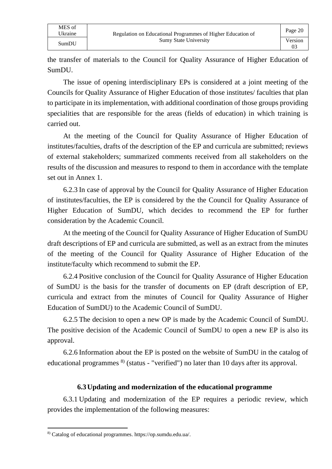the transfer of materials to the Council for Quality Assurance of Higher Education of SumDU.

The issue of opening interdisciplinary EPs is considered at a joint meeting of the Councils for Quality Assurance of Higher Education of those institutes/ faculties that plan to participate in its implementation, with additional coordination of those groups providing specialities that are responsible for the areas (fields of education) in which training is carried out.

At the meeting of the Council for Quality Assurance of Higher Education of institutes/faculties, drafts of the description of the EP and curricula are submitted; reviews of external stakeholders; summarized comments received from all stakeholders on the results of the discussion and measures to respond to them in accordance with the template set out in Annex 1.

6.2.3 In case of approval by the Council for Quality Assurance of Higher Education of institutes/faculties, the EP is considered by the the Council for Quality Assurance of Higher Education of SumDU, which decides to recommend the EP for further consideration by the Academic Council.

At the meeting of the Council for Quality Assurance of Higher Education of SumDU draft descriptions of EP and curricula are submitted, as well as an extract from the minutes of the meeting of the Council for Quality Assurance of Higher Education of the institute/faculty which recommend to submit the EP.

6.2.4 Positive conclusion of the Council for Quality Assurance of Higher Education of SumDU is the basis for the transfer of documents on EP (draft description of EP, curricula and extract from the minutes of Council for Quality Assurance of Higher Education of SumDU) to the Academic Council of SumDU.

6.2.5 The decision to open a new OP is made by the Academic Council of SumDU. The positive decision of the Academic Council of SumDU to open a new EP is also its approval.

6.2.6 Information about the EP is posted on the website of SumDU in the catalog of educational programmes <sup>8)</sup> (status - "verified") no later than 10 days after its approval.

# **6.3Updating and modernization of the educational programme**

6.3.1 Updating and modernization of the EP requires a periodic review, which provides the implementation of the following measures:

<sup>8)</sup> Catalog of educational programmes. [https://op.sumdu.edu.ua/.](https://op.sumdu.edu.ua/)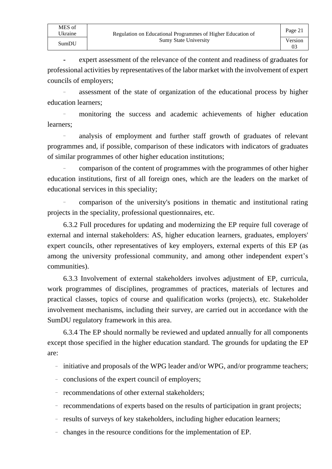MES of

**-** expert assessment of the relevance of the content and readiness of graduates for professional activities by representatives of the labor market with the involvement of expert councils of employers;

₋ assessment of the state of organization of the educational process by higher education learners;

₋ monitoring the success and academic achievements of higher education learners;

₋ analysis of employment and further staff growth of graduates of relevant programmes and, if possible, comparison of these indicators with indicators of graduates of similar programmes of other higher education institutions;

₋ comparison of the content of programmes with the programmes of other higher education institutions, first of all foreign ones, which are the leaders on the market of educational services in this speciality;

₋ comparison of the university's positions in thematic and institutional rating projects in the speciality, professional questionnaires, etc.

6.3.2 Full procedures for updating and modernizing the EP require full coverage of external and internal stakeholders: AS, higher education learners, graduates, employers' expert councils, other representatives of key employers, external experts of this EP (as among the university professional community, and among other independent expert's communities).

6.3.3 Involvement of external stakeholders involves adjustment of EP, curricula, work programmes of disciplines, programmes of practices, materials of lectures and practical classes, topics of course and qualification works (projects), etc. Stakeholder involvement mechanisms, including their survey, are carried out in accordance with the SumDU regulatory framework in this area.

6.3.4 The EP should normally be reviewed and updated annually for all components except those specified in the higher education standard. The grounds for updating the EP are:

- initiative and proposals of the WPG leader and/or WPG, and/or programme teachers;
- conclusions of the expert council of employers;
- recommendations of other external stakeholders;
- recommendations of experts based on the results of participation in grant projects;
- results of surveys of key stakeholders, including higher education learners;
- changes in the resource conditions for the implementation of EP.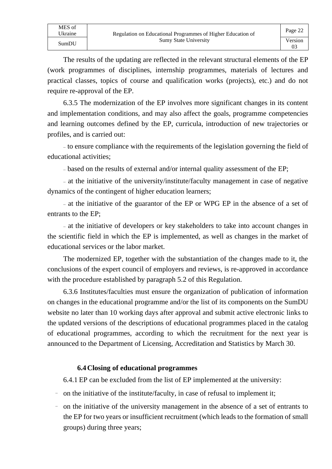The results of the updating are reflected in the relevant structural elements of the EP (work programmes of disciplines, internship programmes, materials of lectures and practical classes, topics of course and qualification works (projects), etc.) and do not require re-approval of the EP.

6.3.5 The modernization of the EP involves more significant changes in its content and implementation conditions, and may also affect the goals, programme competencies and learning outcomes defined by the EP, curricula, introduction of new trajectories or profiles, and is carried out:

₋ to ensure compliance with the requirements of the legislation governing the field of educational activities;

- based on the results of external and/or internal quality assessment of the EP;

₋ at the initiative of the university/institute/faculty management in case of negative dynamics of the contingent of higher education learners;

₋ at the initiative of the guarantor of the EP or WPG EP in the absence of a set of entrants to the EP;

₋ at the initiative of developers or key stakeholders to take into account changes in the scientific field in which the EP is implemented, as well as changes in the market of educational services or the labor market.

The modernized EP, together with the substantiation of the changes made to it, the conclusions of the expert council of employers and reviews, is re-approved in accordance with the procedure established by paragraph 5.2 of this Regulation.

6.3.6 Institutes/faculties must ensure the organization of publication of information on changes in the educational programme and/or the list of its components on the SumDU website no later than 10 working days after approval and submit active electronic links to the updated versions of the descriptions of educational programmes placed in the catalog of educational programmes, according to which the recruitment for the next year is announced to the Department of Licensing, Accreditation and Statistics by March 30.

### **6.4Closing of educational programmes**

6.4.1 EP can be excluded from the list of EP implemented at the university:

- on the initiative of the institute/faculty, in case of refusal to implement it;
- on the initiative of the university management in the absence of a set of entrants to the EP for two years or insufficient recruitment (which leads to the formation of small groups) during three years;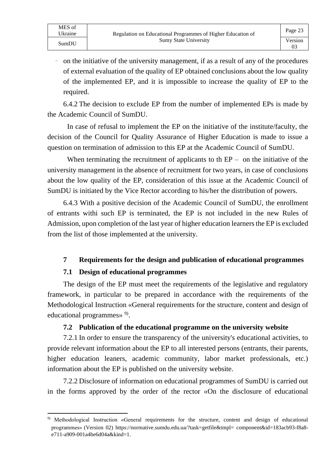- on the initiative of the university management, if as a result of any of the procedures of external evaluation of the quality of EP obtained conclusions about the low quality of the implemented EP, and it is impossible to increase the quality of EP to the required.

6.4.2 The decision to exclude EP from the number of implemented EPs is made by the Academic Council of SumDU.

In case of refusal to implement the EP on the initiative of the institute/faculty, the decision of the Council for Quality Assurance of Higher Education is made to issue a question on termination of admission to this EP at the Academic Council of SumDU.

When terminating the recruitment of applicants to th  $EP -$  on the initiative of the university management in the absence of recruitment for two years, in case of conclusions about the low quality of the EP, consideration of this issue at the Academic Council of SumDU is initiated by the Vice Rector according to his/her the distribution of powers.

6.4.3 With a positive decision of the Academic Council of SumDU, the enrollment of entrants withi such EP is terminated, the EP is not included in the new Rules of Admission, upon completion of the last year of higher education learners the EP is excluded from the list of those implemented at the university.

### **7 Requirements for the design and publication of educational programmes**

### **7.1 Design of educational programmes**

MES of<br>Ukraine

The design of the EP must meet the requirements of the legislative and regulatory framework, in particular to be prepared in accordance with the requirements of the Methodological Instruction «General requirements for the structure, content and design of educational programmes» 9).

### **7.2 Publication of the educational programme on the university website**

7.2.1 In order to ensure the transparency of the university's educational activities, to provide relevant information about the EP to all interested persons (entrants, their parents, higher education leaners, academic community, labor market professionals, etc.) information about the EP is published on the university website.

7.2.2 Disclosure of information on educational programmes of SumDU is carried out in the forms approved by the order of the rector «On the disclosure of educational

<sup>9)</sup> Methodological Instruction «General requirements for the structure, content and design of educational programmes» (Version 02) https://normative.sumdu.edu.ua/?task=getfile&tmpl= component&id=183acb93-f8a8 e711-a909-001a4be6d04a&kind=1.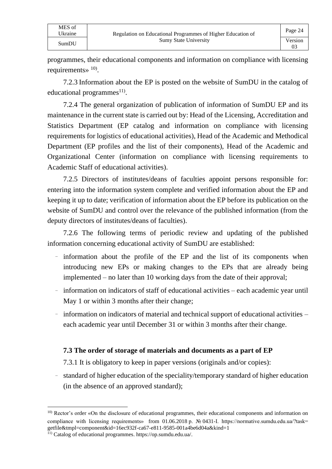programmes, their educational components and information on compliance with licensing requirements» 10).

7.2.3 Information about the EP is posted on the website of SumDU in the catalog of educational programmes<sup>11)</sup>.

7.2.4 The general organization of publication of information of SumDU EP and its maintenance in the current state is carried out by: Head of the Licensing, Accreditation and Statistics Department (EP catalog and information on compliance with licensing requirements for logistics of educational activities), Head of the Academic and Methodical Department (EP profiles and the list of their components), Head of the Academic and Organizational Center (information on compliance with licensing requirements to Academic Staff of educational activities).

7.2.5 Directors of institutes/deans of faculties appoint persons responsible for: entering into the information system complete and verified information about the EP and keeping it up to date; verification of information about the EP before its publication on the website of SumDU and control over the relevance of the published information (from the deputy directors of institutes/deans of faculties).

7.2.6 The following terms of periodic review and updating of the published information concerning educational activity of SumDU are established:

- information about the profile of the EP and the list of its components when introducing new EPs or making changes to the EPs that are already being implemented – no later than 10 working days from the date of their approval;
- information on indicators of staff of educational activities each academic year until May 1 or within 3 months after their change;
- information on indicators of material and technical support of educational activities each academic year until December 31 or within 3 months after their change.

### **7.3 The order of storage of materials and documents as a part of EP**

7.3.1 It is obligatory to keep in paper versions (originals and/or copies):

- standard of higher education of the speciality/temporary standard of higher education (in the absence of an approved standard);

<sup>&</sup>lt;sup>10)</sup> Rector's order «On the disclosure of educational programmes, their educational components and information on compliance with licensing requirements» from 01.06.2018 p. № 0431-I. https://normative.sumdu.edu.ua/?task= getfile&tmpl=component&id=16ec932f-ca67-e811-9585-001a4be6d04a&kind=1

<sup>11)</sup> Catalog of educational programmes. [https://op.sumdu.edu.ua/.](https://op.sumdu.edu.ua/)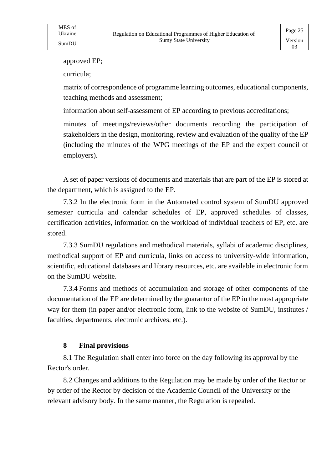- approved EP;
- curricula;
- ₋ matrix of correspondence of programme learning outcomes, educational components, teaching methods and assessment;
- information about self-assessment of EP according to previous accreditations;
- ₋ minutes of meetings/reviews/other documents recording the participation of stakeholders in the design, monitoring, review and evaluation of the quality of the EP (including the minutes of the WPG meetings of the EP and the expert council of employers).

A set of paper versions of documents and materials that are part of the EP is stored at the department, which is assigned to the EP.

7.3.2 In the electronic form in the Automated control system of SumDU approved semester curricula and calendar schedules of EP, approved schedules of classes, certification activities, information on the workload of individual teachers of EP, etc. are stored.

7.3.3 SumDU regulations and methodical materials, syllabi of academic disciplines, methodical support of EP and curricula, links on access to university-wide information, scientific, educational databases and library resources, etc. are available in electronic form on the SumDU website.

7.3.4 Forms and methods of accumulation and storage of other components of the documentation of the EP are determined by the guarantor of the EP in the most appropriate way for them (in paper and/or electronic form, link to the website of SumDU, institutes / faculties, departments, electronic archives, etc.).

### **8 Final provisions**

8.1 The Regulation shall enter into force on the day following its approval by the Rector's order.

8.2 Changes and additions to the Regulation may be made by order of the Rector or by order of the Rector by decision of the Academic Council of the University or the relevant advisory body. In the same manner, the Regulation is repealed.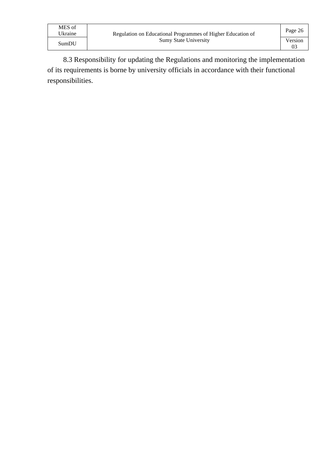| MES of<br>Ukraine | Regulation on Educational Programmes of Higher Education of | Page 26 |
|-------------------|-------------------------------------------------------------|---------|
|                   | <b>Sumy State University</b>                                | Version |
| SumDU             |                                                             |         |

8.3 Responsibility for updating the Regulations and monitoring the implementation of its requirements is borne by university officials in accordance with their functional responsibilities.